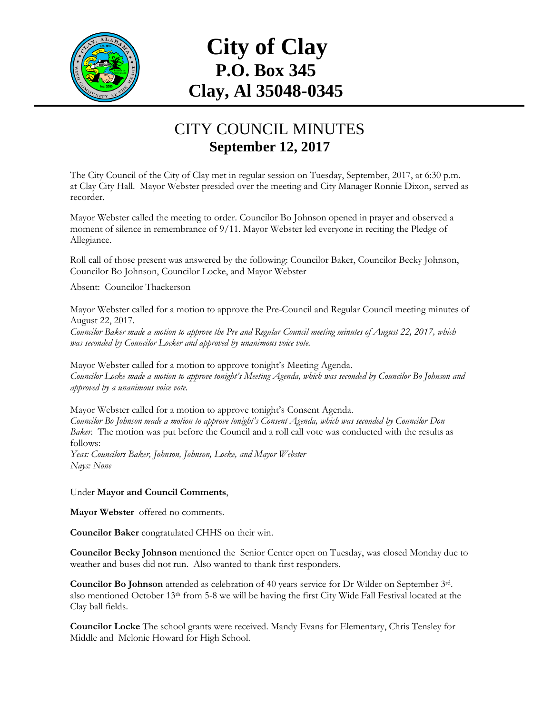

## **City of Clay P.O. Box 345 Clay, Al 35048-0345**

## CITY COUNCIL MINUTES **September 12, 2017**

The City Council of the City of Clay met in regular session on Tuesday, September, 2017, at 6:30 p.m. at Clay City Hall. Mayor Webster presided over the meeting and City Manager Ronnie Dixon, served as recorder.

Mayor Webster called the meeting to order. Councilor Bo Johnson opened in prayer and observed a moment of silence in remembrance of 9/11. Mayor Webster led everyone in reciting the Pledge of Allegiance.

Roll call of those present was answered by the following: Councilor Baker, Councilor Becky Johnson, Councilor Bo Johnson, Councilor Locke, and Mayor Webster

Absent: Councilor Thackerson

Mayor Webster called for a motion to approve the Pre-Council and Regular Council meeting minutes of August 22, 2017.

*Councilor Baker made a motion to approve the Pre and Regular Council meeting minutes of August 22, 2017, which was seconded by Councilor Locker and approved by unanimous voice vote.*

Mayor Webster called for a motion to approve tonight's Meeting Agenda. *Councilor Locke made a motion to approve tonight's Meeting Agenda, which was seconded by Councilor Bo Johnson and approved by a unanimous voice vote.*

Mayor Webster called for a motion to approve tonight's Consent Agenda. *Councilor Bo Johnson made a motion to approve tonight's Consent Agenda, which was seconded by Councilor Don Baker.* The motion was put before the Council and a roll call vote was conducted with the results as follows: *Yeas: Councilors Baker, Johnson, Johnson, Locke, and Mayor Webster Nays: None*

Under **Mayor and Council Comments**,

**Mayor Webster** offered no comments.

**Councilor Baker** congratulated CHHS on their win.

**Councilor Becky Johnson** mentioned the Senior Center open on Tuesday, was closed Monday due to weather and buses did not run. Also wanted to thank first responders.

**Councilor Bo Johnson** attended as celebration of 40 years service for Dr Wilder on September 3rd. also mentioned October 13<sup>th</sup> from 5-8 we will be having the first City Wide Fall Festival located at the Clay ball fields.

**Councilor Locke** The school grants were received. Mandy Evans for Elementary, Chris Tensley for Middle and Melonie Howard for High School.